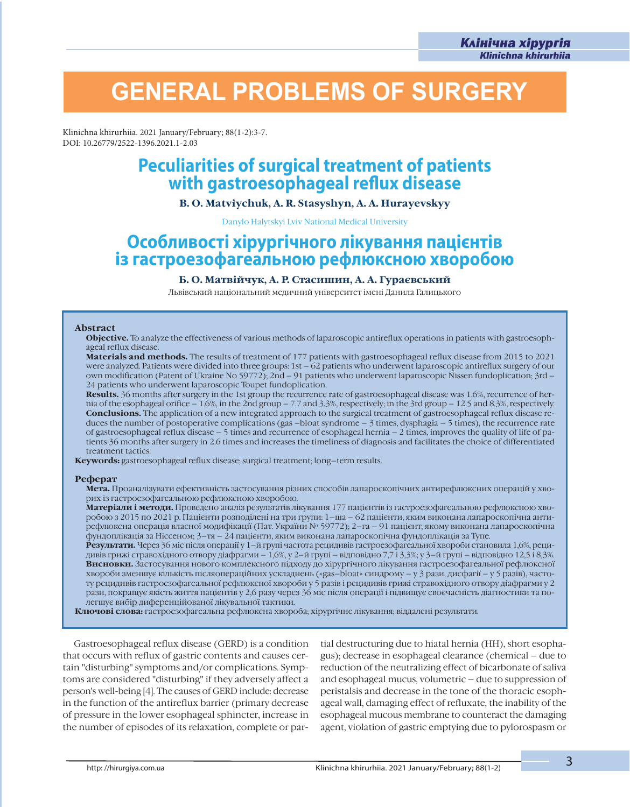í

## **GENERAL PROBLEMS OF SURGERY**

Klinichna khirurhiia. 2021 January/February; 88(1-2):3-7. DOI: 10.26779/2522-1396.2021.1-2.03

# **Peculiarities of surgical treatment of patients<br>with gastroesophageal reflux disease**

#### **B. O. Matviychuk, A. R. Stasyshyn, A. A. Hurayevskyy**

Danylo Halytskyi Lviv National Medical University

### **Особливості хірургічного лікування пацієнтів із гастроезофагеальною рефлюксною хворобою**

#### **Б. О. Матвійчук, А. Р. Стасишин, А. А. Гураєвський**

Львівський національний медичний університет імені Данила Галицького

#### **Abstract**

**Objective.** To analyze the effectiveness of various methods of laparoscopic antireflux operations in patients with gastroesophageal reflux disease.

**Materials and methods.** The results of treatment of 177 patients with gastroesophageal reflux disease from 2015 to 2021 were analyzed. Patients were divided into three groups: 1st – 62 patients who underwent laparoscopic antireflux surgery of our own modification (Patent of Ukraine No 59772); 2nd – 91 patients who underwent laparoscopic Nissen fundoplication; 3rd – 24 patients who underwent laparoscopic Toupet fundoplication.

**Results.** 36 months after surgery in the 1st group the recurrence rate of gastroesophageal disease was 1.6%, recurrence of hernia of the esophageal orifice – 1.6%, in the 2nd group – 7.7 and 3.3%, respectively; in the 3rd group – 12.5 and 8.3%, respectively.<br>**Conclusions.** The application of a new integrated approach to the surgical treatment of duces the number of postoperative complications (gas –bloat syndrome  $-3$  times, dysphagia – 5 times), the recurrence rate of gastroesophageal reflux disease – 5 times and recurrence of esophageal hernia – 2 times, improves the quality of life of patients 36 months after surgery in 2.6 times and increases the timeliness of diagnosis and facilitates the choice of differentiated treatment tactics.

**Keywords:** gastroesophageal reflux disease; surgical treatment; long–term results.

#### **Реферат**

**Мета.** Проаналізувати ефективність застосування різних способів лапароскопічних антирефлюксних операцій у хворих із гастроезофагеальною рефлюксною хворобою.

**Матеріали і методи.** Проведено аналіз результатів лікування 177 пацієнтів із гастроезофагеальною рефлюксною хворобою з 2015 по 2021 р. Пацієнти розподілені на три групи: 1–ша – 62 пацієнти, яким виконана лапароскопічна антирефлюксна операція власної модифікації (Пат. України № 59772); 2–га – 91 пацієнт, якому виконана лапароскопічна фундоплікація за Ніссеном; 3–тя – 24 пацієнти, яким виконана лапароскопічна фундоплікація за Тупе.

**Результати.** Через 36 міс після операції у 1–й групі частота рецидивів гастроезофагеальної хвороби становила 1,6%, рецидивів грижі стравохідного отвору діафрагми – 1,6%, у 2–й групі – відповідно 7,7 і 3,3%; у 3–й групі – відповідно 12,5 і 8,3%. **Висновки.** Застосування нового комплексного підходу до хірургічного лікування гастроезофагеальної рефлюксної хвороби зменшує кількість післяопераційних ускладнень («gas–bloat» синдрому – у 3 рази, дисфагії – у 5 разів), частоту рецидивів гастроезофагеальної рефлюксної хвороби у 5 разів і рецидивів грижі стравохідного отвору діафрагми у 2 рази, покращує якість життя пацієнтів у 2,6 разу через 36 міс після операції і підвищує своєчасність діагностики та полегшує вибір диференційованої лікувальної тактики.

**Ключові слова:** гастроезофагеальна рефлюксна хвороба; хірургічне лікування; віддалені результати.

Gastroesophageal reflux disease (GERD) is a condition that occurs with reflux of gastric contents and causes certain "disturbing" symptoms and/or complications. Symptoms are considered "disturbing" if they adversely affect a person's well-being [4]. The causes of GERD include: decrease in the function of the antireflux barrier (primary decrease of pressure in the lower esophageal sphincter, increase in the number of episodes of its relaxation, complete or partial destructuring due to hiatal hernia (HH), short esophagus); decrease in esophageal clearance (chemical – due to reduction of the neutralizing effect of bicarbonate of saliva and esophageal mucus, volumetric – due to suppression of peristalsis and decrease in the tone of the thoracic esophageal wall, damaging effect of refluxate, the inability of the esophageal mucous membrane to counteract the damaging agent, violation of gastric emptying due to pylorospasm or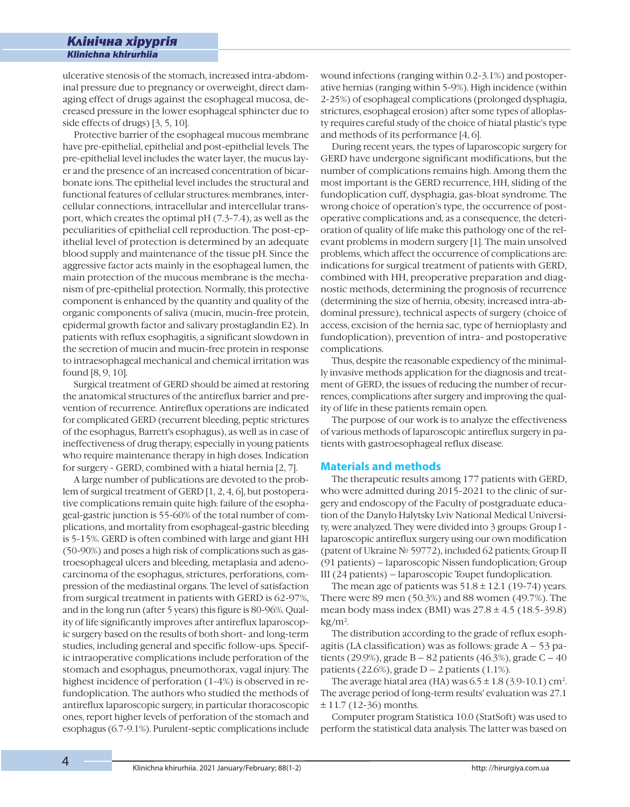í

ulcerative stenosis of the stomach, increased intra-abdominal pressure due to pregnancy or overweight, direct damaging effect of drugs against the esophageal mucosa, decreased pressure in the lower esophageal sphincter due to side effects of drugs) [3, 5, 10].

Protective barrier of the esophageal mucous membrane have pre-epithelial, epithelial and post-epithelial levels. The pre-epithelial level includes the water layer, the mucus layer and the presence of an increased concentration of bicarbonate ions. The epithelial level includes the structural and functional features of cellular structures: membranes, intercellular connections, intracellular and intercellular transport, which creates the optimal pH (7.3-7.4), as well as the peculiarities of epithelial cell reproduction. The post-epithelial level of protection is determined by an adequate blood supply and maintenance of the tissue pH. Since the aggressive factor acts mainly in the esophageal lumen, the main protection of the mucous membrane is the mechanism of pre-epithelial protection. Normally, this protective component is enhanced by the quantity and quality of the organic components of saliva (mucin, mucin-free protein, epidermal growth factor and salivary prostaglandin E2). In patients with reflux esophagitis, a significant slowdown in the secretion of mucin and mucin-free protein in response to intraesophageal mechanical and chemical irritation was found [8, 9, 10].

Surgical treatment of GERD should be aimed at restoring the anatomical structures of the antireflux barrier and prevention of recurrence. Antireflux operations are indicated for complicated GERD (recurrent bleeding, peptic strictures of the esophagus, Barrett's esophagus), as well as in case of ineffectiveness of drug therapy, especially in young patients who require maintenance therapy in high doses. Indication for surgery - GERD, combined with a hiatal hernia [2, 7].

A large number of publications are devoted to the problem of surgical treatment of GERD [1, 2, 4, 6], but postoperative complications remain quite high: failure of the esophageal-gastric junction is 55-60% of the total number of complications, and mortality from esophageal-gastric bleeding is 5-15%. GERD is often combined with large and giant HH (50-90%) and poses a high risk of complications such as gastroesophageal ulcers and bleeding, metaplasia and adenocarcinoma of the esophagus, strictures, perforations, compression of the mediastinal organs. The level of satisfaction from surgical treatment in patients with GERD is 62-97%, and in the long run (after 5 years) this figure is 80-96%. Quality of life significantly improves after antireflux laparoscopic surgery based on the results of both short- and long-term studies, including general and specific follow-ups. Specific intraoperative complications include perforation of the stomach and esophagus, pneumothorax, vagal injury. The highest incidence of perforation (1-4%) is observed in refundoplication. The authors who studied the methods of antireflux laparoscopic surgery, in particular thoracoscopic ones, report higher levels of perforation of the stomach and esophagus (6.7-9.1%). Purulent-septic complications include

wound infections (ranging within 0.2-3.1%) and postoperative hernias (ranging within 5-9%). High incidence (within 2-25%) of esophageal complications (prolonged dysphagia, strictures, esophageal erosion) after some types of alloplasty requires careful study of the choice of hiatal plastic's type and methods of its performance [4, 6].

During recent years, the types of laparoscopic surgery for GERD have undergone significant modifications, but the number of complications remains high. Among them the most important is the GERD recurrence, HH, sliding of the fundoplication cuff, dysphagia, gas-bloat syndrome. The wrong choice of operation's type, the occurrence of postoperative complications and, as a consequence, the deterioration of quality of life make this pathology one of the relevant problems in modern surgery [1]. The main unsolved problems, which affect the occurrence of complications are: indications for surgical treatment of patients with GERD, combined with HH, preoperative preparation and diagnostic methods, determining the prognosis of recurrence (determining the size of hernia, obesity, increased intra-abdominal pressure), technical aspects of surgery (choice of access, excision of the hernia sac, type of hernioplasty and fundoplication), prevention of intra- and postoperative complications.

Thus, despite the reasonable expediency of the minimally invasive methods application for the diagnosis and treatment of GERD, the issues of reducing the number of recurrences, complications after surgery and improving the quality of life in these patients remain open.

The purpose of our work is to analyze the effectiveness of various methods of laparoscopic antireflux surgery in patients with gastroesophageal reflux disease.

#### **Materials and methods**

The therapeutic results among 177 patients with GERD, who were admitted during 2015-2021 to the clinic of surgery and endoscopy of the Faculty of postgraduate education of the Danylo Halytsky Lviv National Medical University, were analyzed. They were divided into 3 groups: Group I laparoscopic antireflux surgery using our own modification (patent of Ukraine № 59772), included 62 patients; Group II (91 patients) – laparoscopic Nissen fundoplication; Group III (24 patients) – laparoscopic Toupet fundoplication.

The mean age of patients was  $51.8 \pm 12.1$  (19-74) years. There were 89 men (50.3%) and 88 women (49.7%). The mean body mass index (BMI) was  $27.8 \pm 4.5$  (18.5-39.8)  $kg/m<sup>2</sup>$ .

The distribution according to the grade of reflux esophagitis (LA classification) was as follows: grade  $A - 53$  patients (29.9%), grade  $B - 82$  patients (46.3%), grade  $C - 40$ patients (22.6%), grade  $D - 2$  patients (1.1%).

The average hiatal area (HA) was  $6.5 \pm 1.8$  (3.9-10.1) cm<sup>2</sup>. The average period of long-term results' evaluation was 27.1  $± 11.7 (12-36)$  months.

Computer program Statistica 10.0 (StatSoft) was used to perform the statistical data analysis. The latter was based on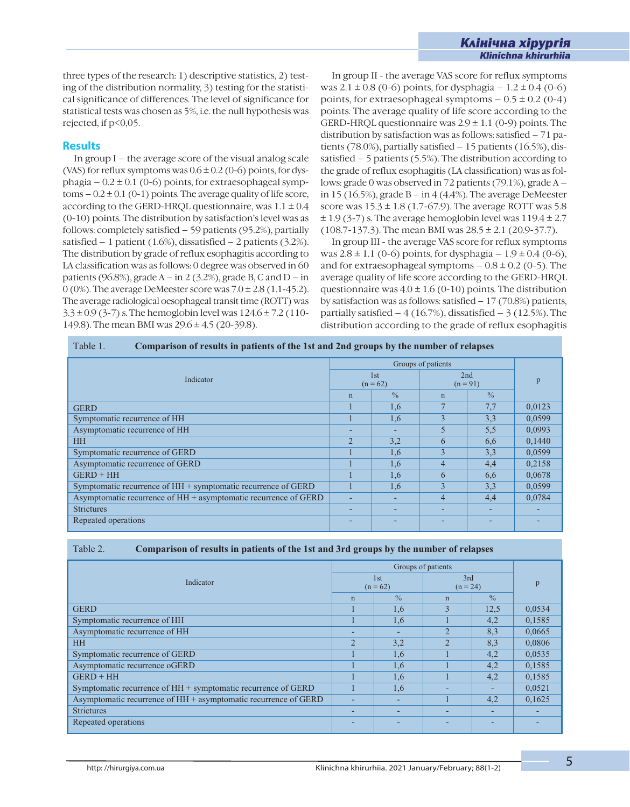three types of the research: 1) descriptive statistics, 2) testing of the distribution normality, 3) testing for the statistical significance of differences. The level of significance for statistical tests was chosen as 5%, i.e. the null hypothesis was rejected, if p<0,05.

#### **Results**

In group I – the average score of the visual analog scale (VAS) for reflux symptoms was  $0.6 \pm 0.2$  (0-6) points, for dysphagia –  $0.2 \pm 0.1$  (0-6) points, for extraesophageal symptoms  $-0.2 \pm 0.1$  (0-1) points. The average quality of life score, according to the GERD-HRQL questionnaire, was  $1.1 \pm 0.4$ (0-10) points. The distribution by satisfaction's level was as follows: completely satisfied – 59 patients (95.2%), partially satisfied  $-1$  patient (1.6%), dissatisfied  $-2$  patients (3.2%). The distribution by grade of reflux esophagitis according to LA classification was as follows: 0 degree was observed in 60 patients (96.8%), grade  $A - in 2$  (3.2%), grade B, C and  $D - in$ 0 (0%). The average DeMeester score was  $7.0 \pm 2.8$  (1.1-45.2). The average radiological oesophageal transit time (ROTT) was  $3.3 \pm 0.9$  (3-7) s. The hemoglobin level was  $124.6 \pm 7.2$  (110-149.8). The mean BMI was 29.6 ± 4.5 (20-39.8).

In group II - the average VAS score for reflux symptoms was  $2.1 \pm 0.8$  (0-6) points, for dysphagia –  $1.2 \pm 0.4$  (0-6) points, for extraesophageal symptoms  $-0.5 \pm 0.2$  (0-4) points. The average quality of life score according to the GERD-HRQL questionnaire was  $2.9 \pm 1.1$  (0-9) points. The distribution by satisfaction was as follows: satisfied – 71 patients (78.0%), partially satisfied – 15 patients (16.5%), dissatisfied  $-5$  patients (5.5%). The distribution according to the grade of reflux esophagitis (LA classification) was as follows: grade 0 was observed in 72 patients (79.1%), grade A – in 15 (16.5%), grade  $B - in 4$  (4.4%). The average DeMeester score was  $15.3 \pm 1.8$  (1.7-67.9). The average ROTT was 5.8  $\pm$  1.9 (3-7) s. The average hemoglobin level was 119.4  $\pm$  2.7  $(108.7-137.3)$ . The mean BMI was  $28.5 \pm 2.1$   $(20.9-37.7)$ .

í

In group III - the average VAS score for reflux symptoms was  $2.8 \pm 1.1$  (0-6) points, for dysphagia –  $1.9 \pm 0.4$  (0-6), and for extraesophageal symptoms  $-0.8 \pm 0.2$  (0-5). The average quality of life score according to the GERD-HRQL questionnaire was  $4.0 \pm 1.6$  (0-10) points. The distribution by satisfaction was as follows: satisfied – 17 (70.8%) patients, partially satisfied  $-4$  (16.7%), dissatisfied  $-3$  (12.5%). The distribution according to the grade of reflux esophagitis

| Table 1.<br>Comparison of results in patients of the 1st and 2nd groups by the number of relapses |                    |               |                          |               |        |  |  |  |  |
|---------------------------------------------------------------------------------------------------|--------------------|---------------|--------------------------|---------------|--------|--|--|--|--|
| Indicator                                                                                         | Groups of patients |               |                          |               |        |  |  |  |  |
|                                                                                                   | 1st<br>$(n = 62)$  |               | 2nd<br>$(n = 91)$        |               | p      |  |  |  |  |
|                                                                                                   | $\mathbf n$        | $\frac{0}{0}$ | $\mathbf n$              | $\frac{0}{0}$ |        |  |  |  |  |
| <b>GERD</b>                                                                                       |                    | 1,6           |                          | 7,7           | 0,0123 |  |  |  |  |
| Symptomatic recurrence of HH                                                                      |                    | 1,6           | $\overline{\mathcal{E}}$ | 3,3           | 0,0599 |  |  |  |  |
| Asymptomatic recurrence of HH                                                                     |                    |               | 5                        | 5,5           | 0,0993 |  |  |  |  |
| <b>HH</b>                                                                                         | $\mathfrak{D}$     | 3,2           | 6                        | 6,6           | 0,1440 |  |  |  |  |
| Symptomatic recurrence of GERD                                                                    |                    | 1,6           | 3                        | 3,3           | 0,0599 |  |  |  |  |
| Asymptomatic recurrence of GERD                                                                   |                    | 1,6           | $\overline{4}$           | 4,4           | 0,2158 |  |  |  |  |
| $GERD + HH$                                                                                       |                    | 1,6           | 6                        | 6,6           | 0,0678 |  |  |  |  |
| Symptomatic recurrence of HH + symptomatic recurrence of GERD                                     |                    | 1,6           | $\mathcal{E}$            | 3,3           | 0,0599 |  |  |  |  |
| Asymptomatic recurrence of HH + asymptomatic recurrence of GERD                                   |                    |               | 4                        | 4,4           | 0,0784 |  |  |  |  |
| <b>Strictures</b>                                                                                 |                    |               |                          |               |        |  |  |  |  |
| Repeated operations                                                                               |                    |               |                          |               |        |  |  |  |  |

| Table 1. | Comparison of results in patients of the 1st and 2nd groups by the number of relapses |
|----------|---------------------------------------------------------------------------------------|
|          |                                                                                       |

#### Table 2. **Comparison of results in patients of the 1st and 3rd groups by the number of relapses**

|                                                                 | Groups of patients       |                          |                |               |        |
|-----------------------------------------------------------------|--------------------------|--------------------------|----------------|---------------|--------|
| Indicator                                                       | 1st                      |                          | 3rd            |               | p      |
|                                                                 |                          | $(n = 62)$               |                | $(n = 24)$    |        |
|                                                                 | $\mathbf n$              | $\frac{0}{0}$            | $\mathbf n$    | $\frac{0}{0}$ |        |
| <b>GERD</b>                                                     |                          | 1,6                      | 3              | 12,5          | 0,0534 |
| Symptomatic recurrence of HH                                    |                          | 1,6                      |                | 4,2           | 0,1585 |
| Asymptomatic recurrence of HH                                   |                          |                          | ◠              | 8,3           | 0,0665 |
| <b>HH</b>                                                       | $\mathfrak{D}$           | 3,2                      | $\mathfrak{D}$ | 8,3           | 0,0806 |
| Symptomatic recurrence of GERD                                  |                          | 1,6                      |                | 4,2           | 0,0535 |
| Asymptomatic recurrence oGERD                                   |                          | 1,6                      |                | 4,2           | 0,1585 |
| $GERD + HH$                                                     |                          | 1,6                      |                | 4,2           | 0,1585 |
| Symptomatic recurrence of HH + symptomatic recurrence of GERD   |                          | 1,6                      |                |               | 0,0521 |
| Asymptomatic recurrence of HH + asymptomatic recurrence of GERD |                          |                          |                | 4,2           | 0,1625 |
| <b>Strictures</b>                                               | $\overline{\phantom{0}}$ | $\overline{\phantom{0}}$ |                | -             |        |
| Repeated operations                                             |                          |                          |                |               |        |
|                                                                 |                          |                          |                |               |        |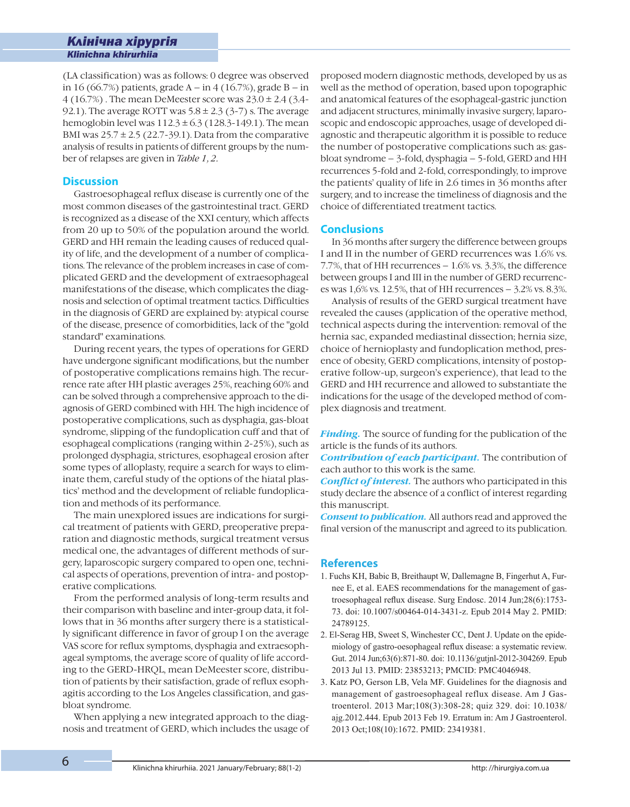(LA classification) was as follows: 0 degree was observed in 16 (66.7%) patients, grade A – in 4 (16.7%), grade B – in 4 (16.7%) . The mean DeMeester score was 23.0 ± 2.4 (3.4- 92.1). The average ROTT was  $5.8 \pm 2.3$  (3-7) s. The average hemoglobin level was  $112.3 \pm 6.3$  (128.3-149.1). The mean BMI was  $25.7 \pm 2.5$  (22.7-39.1). Data from the comparative analysis of results in patients of different groups by the number of relapses are given in *Table 1, 2.*

#### **Discussion**

í

Gastroesophageal reflux disease is currently one of the most common diseases of the gastrointestinal tract. GERD is recognized as a disease of the XXI century, which affects from 20 up to 50% of the population around the world. GERD and HH remain the leading causes of reduced quality of life, and the development of a number of complications. The relevance of the problem increases in case of complicated GERD and the development of extraesophageal manifestations of the disease, which complicates the diagnosis and selection of optimal treatment tactics. Difficulties in the diagnosis of GERD are explained by: atypical course of the disease, presence of comorbidities, lack of the "gold standard" examinations.

During recent years, the types of operations for GERD have undergone significant modifications, but the number of postoperative complications remains high. The recurrence rate after HH plastic averages 25%, reaching 60% and can be solved through a comprehensive approach to the diagnosis of GERD combined with HH. The high incidence of postoperative complications, such as dysphagia, gas-bloat syndrome, slipping of the fundoplication cuff and that of esophageal complications (ranging within 2-25%), such as prolonged dysphagia, strictures, esophageal erosion after some types of alloplasty, require a search for ways to eliminate them, careful study of the options of the hiatal plastics' method and the development of reliable fundoplication and methods of its performance.

The main unexplored issues are indications for surgical treatment of patients with GERD, preoperative preparation and diagnostic methods, surgical treatment versus medical one, the advantages of different methods of surgery, laparoscopic surgery compared to open one, technical aspects of operations, prevention of intra- and postoperative complications.

From the performed analysis of long-term results and their comparison with baseline and inter-group data, it follows that in 36 months after surgery there is a statistically significant difference in favor of group I on the average VAS score for reflux symptoms, dysphagia and extraesophageal symptoms, the average score of quality of life according to the GERD-HRQL, mean DeMeester score, distribution of patients by their satisfaction, grade of reflux esophagitis according to the Los Angeles classification, and gasbloat syndrome.

When applying a new integrated approach to the diagnosis and treatment of GERD, which includes the usage of proposed modern diagnostic methods, developed by us as well as the method of operation, based upon topographic and anatomical features of the esophageal-gastric junction and adjacent structures, minimally invasive surgery, laparoscopic and endoscopic approaches, usage of developed diagnostic and therapeutic algorithm it is possible to reduce the number of postoperative complications such as: gasbloat syndrome – 3-fold, dysphagia – 5-fold, GERD and HH recurrences 5-fold and 2-fold, correspondingly, to improve the patients' quality of life in 2.6 times in 36 months after surgery, and to increase the timeliness of diagnosis and the choice of differentiated treatment tactics.

#### **Conclusions**

In 36 months after surgery the difference between groups I and II in the number of GERD recurrences was 1.6% vs. 7.7%, that of HH recurrences – 1.6% vs. 3.3%, the difference between groups I and III in the number of GERD recurrences was 1,6% vs. 12.5%, that of HH recurrences – 3.2% vs. 8.3%.

Analysis of results of the GERD surgical treatment have revealed the causes (application of the operative method, technical aspects during the intervention: removal of the hernia sac, expanded mediastinal dissection; hernia size, choice of hernioplasty and fundoplication method, presence of obesity, GERD complications, intensity of postoperative follow-up, surgeon's experience), that lead to the GERD and HH recurrence and allowed to substantiate the indications for the usage of the developed method of complex diagnosis and treatment.

*Finding.* The source of funding for the publication of the article is the funds of its authors.

*Contribution of each participant.* The contribution of each author to this work is the same.

*Conflict of interest.* The authors who participated in this study declare the absence of a conflict of interest regarding this manuscript.

*Consent to publication.* All authors read and approved the final version of the manuscript and agreed to its publication.

#### **References**

- 1. Fuchs KH, Babic B, Breithaupt W, Dallemagne B, Fingerhut A, Furnee E, et al. EAES recommendations for the management of gastroesophageal reflux disease. Surg Endosc. 2014 Jun;28(6):1753-73. doi: 10.1007/s00464-014-3431-z. Epub 2014 May 2. PMID: 24789125.
- 2. El-Serag HB, Sweet S, Winchester CC, Dent J. Update on the epidemiology of gastro-oesophageal reflux disease: a systematic review. Gut. 2014 Jun;63(6):871-80. doi: 10.1136/gutjnl-2012-304269. Epub 2013 Jul 13. PMID: 23853213; PMCID: PMC4046948.
- 3. Katz PO, Gerson LB, Vela MF. Guidelines for the diagnosis and management of gastroesophageal reflux disease. Am J Gastroenterol. 2013 Mar;108(3):308-28; quiz 329. doi: 10.1038/ ajg.2012.444. Epub 2013 Feb 19. Erratum in: Am J Gastroenterol. 2013 Oct;108(10):1672. PMID: 23419381.